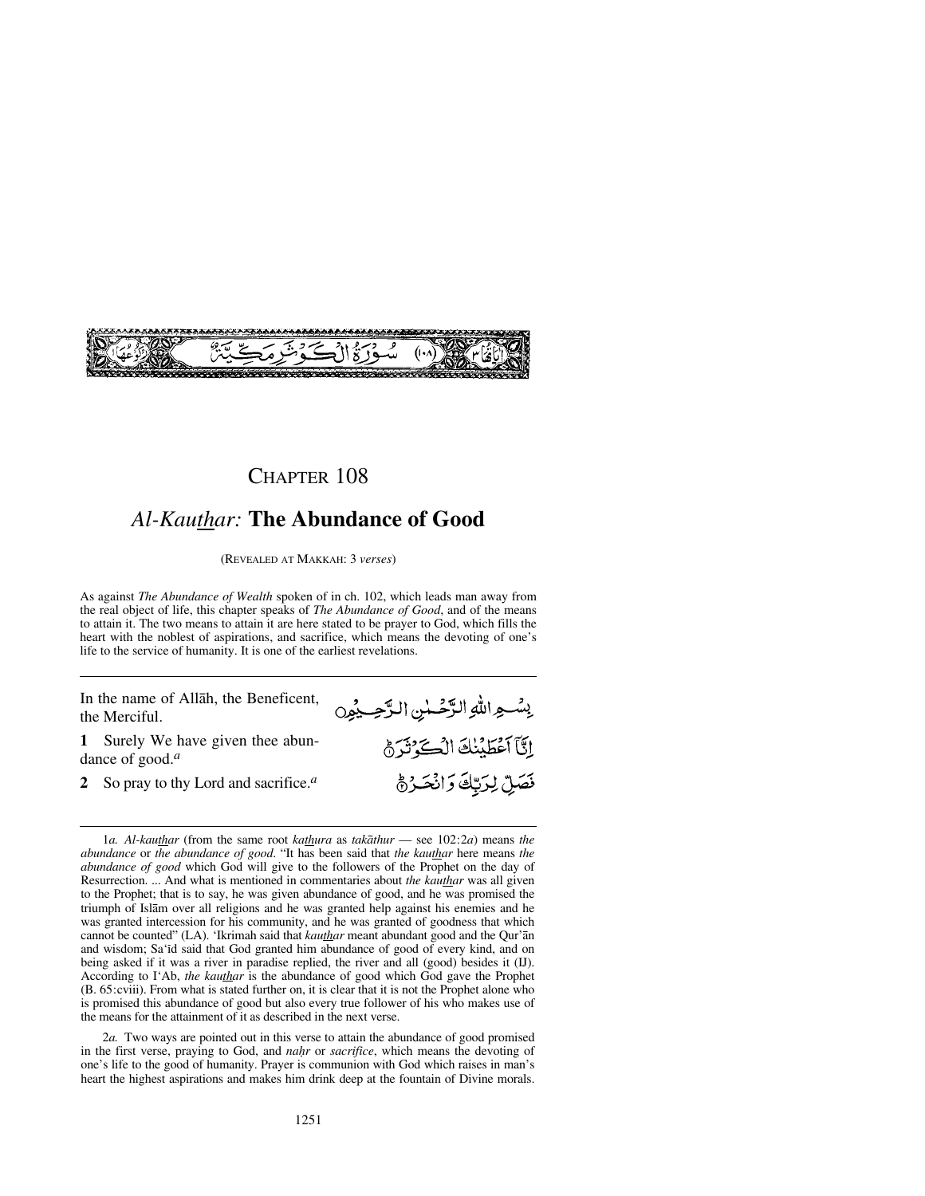

## *Al-Kauthar:* **The Abundance of Good**

(REVEALED AT MAKKAH: 3 *verses*)

As against *The Abundance of Wealth* spoken of in ch. 102, which leads man away from the real object of life, this chapter speaks of *The Abundance of Good*, and of the means to attain it. The two means to attain it are here stated to be prayer to God, which fills the heart with the noblest of aspirations, and sacrifice, which means the devoting of one's life to the service of humanity. It is one of the earliest revelations.

In the name of Allåh, the Beneficent, the Merciful.

**1** Surely We have given thee abundance of good.*<sup>a</sup>*

**2** So pray to thy Lord and sacrifice.*<sup>a</sup>*

إِنَّآ أَعْطَيْنَكَ الْكَوْثَرَةُ فَصَلِّ لِرَبِّكَ وَانْحَرُهُ 1*a. Al-kauthar* (from the same root *kathura* as *takåthur* — see 102:2*a*) means *the abundance* or *the abundance of good*. "It has been said that *the kauthar* here means *the*

بِسُّـعِ اللهِ الزَّحْـلٰنِ الرَّحِــدُوِن

2*a.* Two ways are pointed out in this verse to attain the abundance of good promised in the first verse, praying to God, and *na√r* or *sacrifice*, which means the devoting of one's life to the good of humanity. Prayer is communion with God which raises in man's heart the highest aspirations and makes him drink deep at the fountain of Divine morals.

*abundance of good* which God will give to the followers of the Prophet on the day of Resurrection. ... And what is mentioned in commentaries about *the kauthar* was all given to the Prophet; that is to say, he was given abundance of good, and he was promised the triumph of Islåm over all religions and he was granted help against his enemies and he was granted intercession for his community, and he was granted of goodness that which cannot be counted" (LA). 'Ikrimah said that *kauthar* meant abundant good and the Qur'ån and wisdom; Sa'ßd said that God granted him abundance of good of every kind, and on being asked if it was a river in paradise replied, the river and all (good) besides it (IJ). According to I'Ab, *the kauthar* is the abundance of good which God gave the Prophet (B. 65:cviii). From what is stated further on, it is clear that it is not the Prophet alone who is promised this abundance of good but also every true follower of his who makes use of the means for the attainment of it as described in the next verse.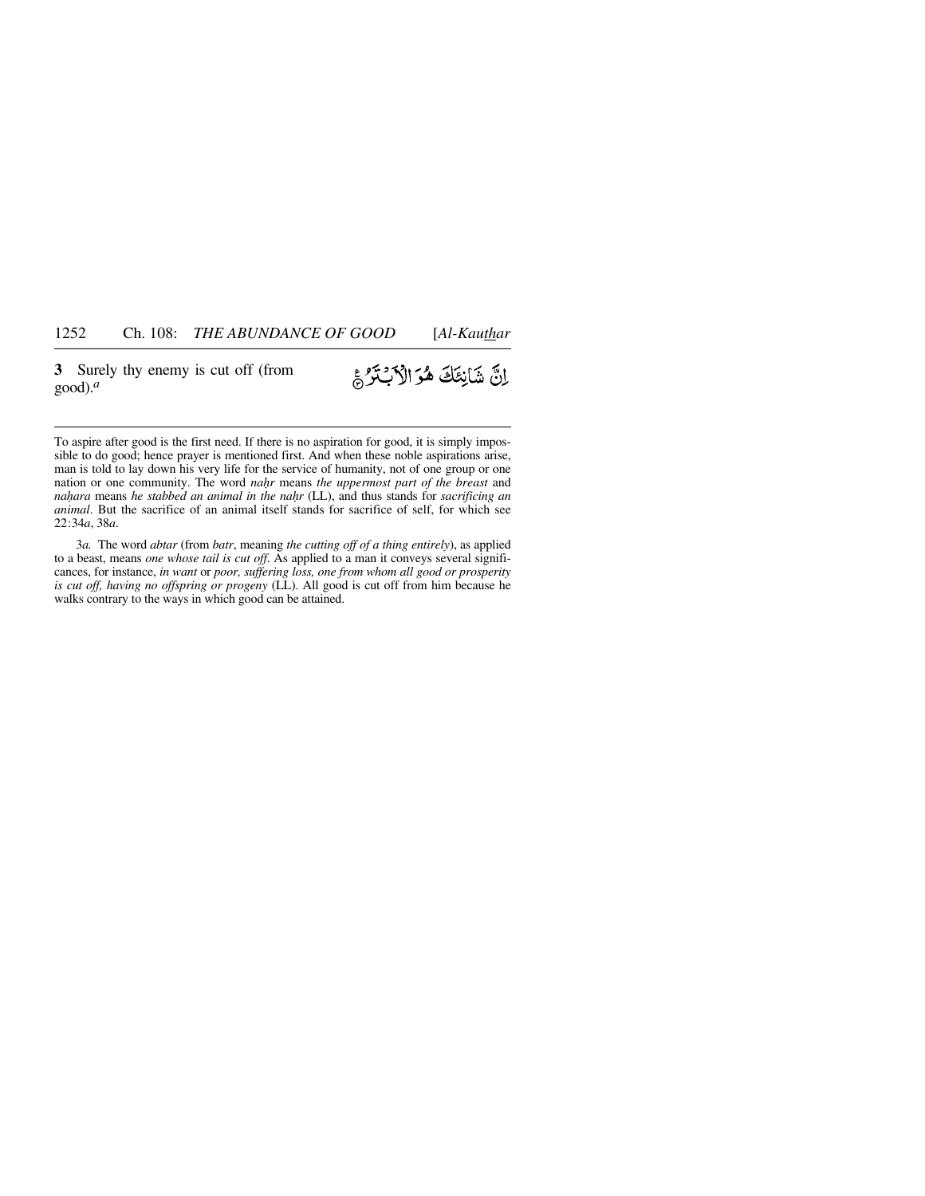**3** Surely thy enemy is cut off (from good).*<sup>a</sup>*

## إِنَّ شَانِئَكَ هُوَ الْأَبْتَرُ

To aspire after good is the first need. If there is no aspiration for good, it is simply impossible to do good; hence prayer is mentioned first. And when these noble aspirations arise, man is told to lay down his very life for the service of humanity, not of one group or one nation or one community. The word *na√r* means *the uppermost part of the breast* and *na√ara* means *he stabbed an animal in the na√r* (LL), and thus stands for *sacrificing an animal*. But the sacrifice of an animal itself stands for sacrifice of self, for which see 22:34*a*, 38*a*.

3*a.* The word *abtar* (from *batr*, meaning *the cutting off of a thing entirely*), as applied to a beast, means *one whose tail is cut off*. As applied to a man it conveys several significances, for instance, *in want* or *poor, suffering loss, one from whom all good or prosperity is cut off, having no offspring or progeny* (LL). All good is cut off from him because he walks contrary to the ways in which good can be attained.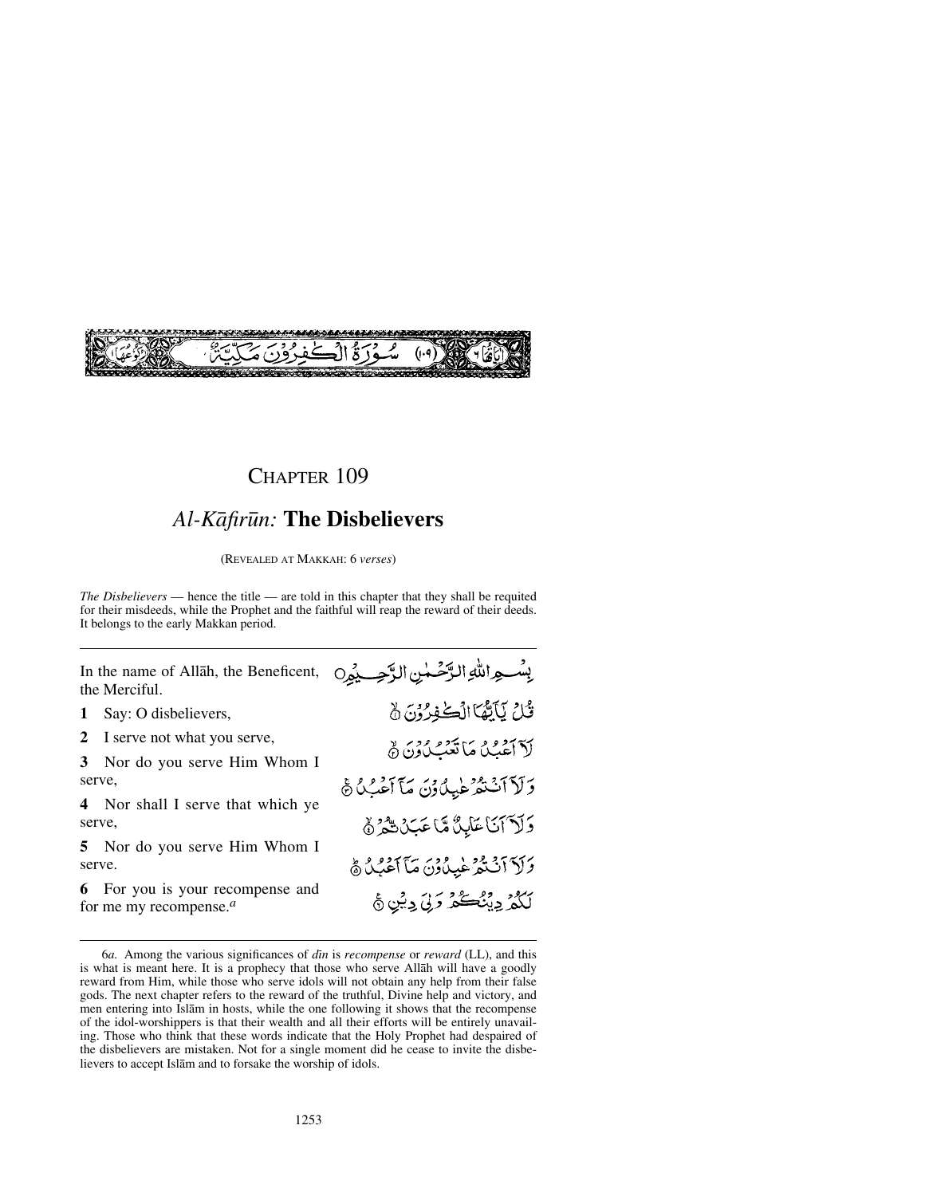

## *Al-Kåfir∂n:* **The Disbelievers**

(REVEALED AT MAKKAH: 6 *verses*)

*The Disbelievers* — hence the title — are told in this chapter that they shall be requited for their misdeeds, while the Prophet and the faithful will reap the reward of their deeds. It belongs to the early Makkan period.

In the name of Allåh, the Beneficent, the Merciful.

**1** Say: O disbelievers,

**2** I serve not what you serve,

**3** Nor do you serve Him Whom I serve,

**4** Nor shall I serve that which ye serve,

**5** Nor do you serve Him Whom I serve.

**6** For you is your recompense and for me my recompense.*<sup>a</sup>*

بِسُواللهِ الرَّحْمٰنِ الرَّحِيِّيُو0 قُلْ يَاَيْهُا الْكُفِرُوْنَ نَّ لآ آغُيُدُ مَا تَعْبُدُونَ ﴾ وَلَاَآنَتْهُ طِيدُونَ مَآ آَعُبُدُ ﴾ وَلَا آنَا عَابِدٌ مَّا عَبَدْ شَهْرٌ ﴾ وَلَاَ ٱنْتَمَرْ غَيِدُوْنَ مَآ ٱعْبُلُ ﴾ لَكُمْ دِينُڪُمْ دَلِيَ دِيْنِ ﴾

<sup>6</sup>*a.* Among the various significances of *dßn* is *recompense* or *reward* (LL), and this is what is meant here. It is a prophecy that those who serve Allåh will have a goodly reward from Him, while those who serve idols will not obtain any help from their false gods. The next chapter refers to the reward of the truthful, Divine help and victory, and men entering into Islåm in hosts, while the one following it shows that the recompense of the idol-worshippers is that their wealth and all their efforts will be entirely unavailing. Those who think that these words indicate that the Holy Prophet had despaired of the disbelievers are mistaken. Not for a single moment did he cease to invite the disbelievers to accept Islåm and to forsake the worship of idols.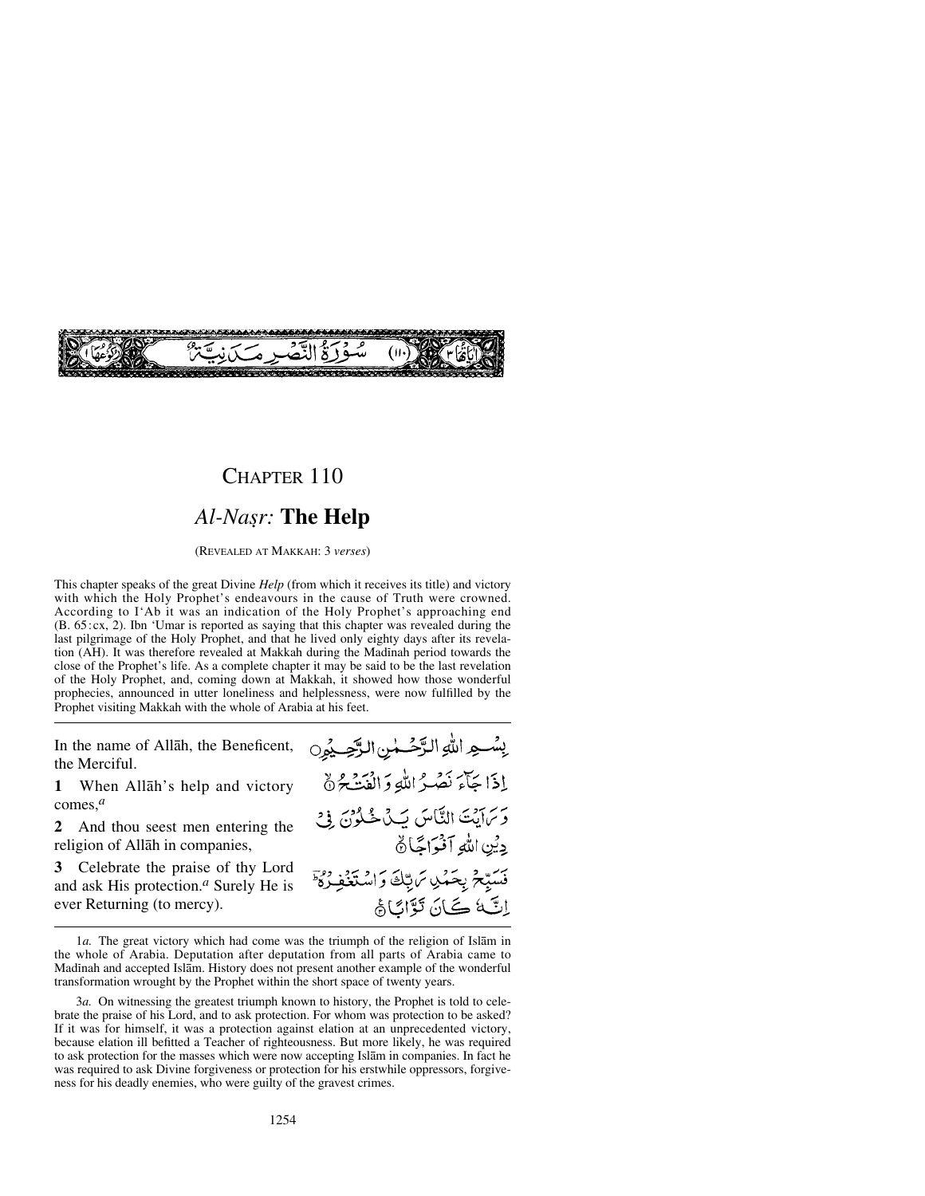

## CHAPTER 110 *Al-Na©r:* **The Help**

(REVEALED AT MAKKAH: 3 *verses*)

This chapter speaks of the great Divine *Help* (from which it receives its title) and victory with which the Holy Prophet's endeavours in the cause of Truth were crowned. According to I'Ab it was an indication of the Holy Prophet's approaching end (B. 65:cx, 2). Ibn 'Umar is reported as saying that this chapter was revealed during the last pilgrimage of the Holy Prophet, and that he lived only eighty days after its revelation (AH). It was therefore revealed at Makkah during the Madinah period towards the close of the Prophet's life. As a complete chapter it may be said to be the last revelation of the Holy Prophet, and, coming down at Makkah, it showed how those wonderful prophecies, announced in utter loneliness and helplessness, were now fulfilled by the Prophet visiting Makkah with the whole of Arabia at his feet.

In the name of Allåh, the Beneficent, the Merciful.

**1** When Allåh's help and victory comes,*<sup>a</sup>*

**2** And thou seest men entering the religion of Allåh in companies,

**3** Celebrate the praise of thy Lord and ask His protection.*<sup>a</sup>* Surely He is ever Returning (to mercy).

بِسْهِ اللهِ الرَّحْسُنِ الرَّحِيمُونِ إذَا جَآءَ نَصَرُ اللَّهِ وَالْفَتَ\$َةُ وَسَايَتَ النَّاسَ يَكْ خُلُوُنَ فِيْ دِيْنِ اللَّهِ آفْيَ اتَّبَارُهُ فَسَبِّحْ بِحَمْلِ تَرَبِّكَ وَاسْتَغَفِ اِتَ کَانَ تَوَّائَاَهُ

<sup>1</sup>*a.* The great victory which had come was the triumph of the religion of Islåm in the whole of Arabia. Deputation after deputation from all parts of Arabia came to Madinah and accepted Islām. History does not present another example of the wonderful transformation wrought by the Prophet within the short space of twenty years.

<sup>3</sup>*a.* On witnessing the greatest triumph known to history, the Prophet is told to celebrate the praise of his Lord, and to ask protection. For whom was protection to be asked? If it was for himself, it was a protection against elation at an unprecedented victory, because elation ill befitted a Teacher of righteousness. But more likely, he was required to ask protection for the masses which were now accepting Islåm in companies. In fact he was required to ask Divine forgiveness or protection for his erstwhile oppressors, forgiveness for his deadly enemies, who were guilty of the gravest crimes.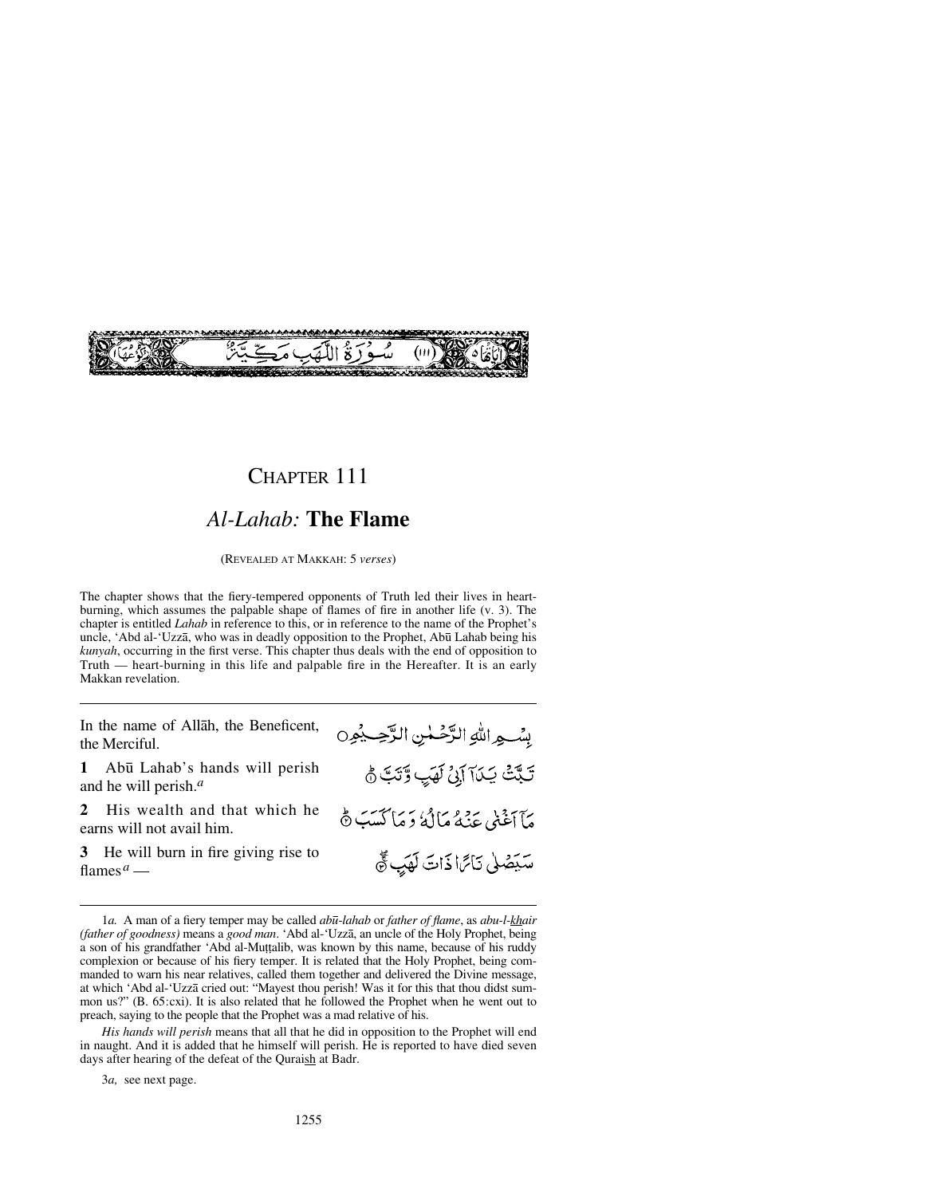

#### *Al-Lahab:* **The Flame**

(REVEALED AT MAKKAH: 5 *verses*)

The chapter shows that the fiery-tempered opponents of Truth led their lives in heartburning, which assumes the palpable shape of flames of fire in another life (v. 3). The chapter is entitled *Lahab* in reference to this, or in reference to the name of the Prophet's uncle, 'Abd al-'Uzzā, who was in deadly opposition to the Prophet, Abū Lahab being his *kunyah*, occurring in the first verse. This chapter thus deals with the end of opposition to Truth — heart-burning in this life and palpable fire in the Hereafter. It is an early Makkan revelation.

In the name of Allåh, the Beneficent, the Merciful.

**1** Ab∂ Lahab's hands will perish and he will perish.*<sup>a</sup>*

**2** His wealth and that which he earns will not avail him.

**3** He will burn in fire giving rise to flames*<sup>a</sup>* —

بسِّيم اللهِ الرَّحْمٰنِ الرَّحِبِيْمِنِ تَبَّتْ يَدَآ آيْنُ لَهَبٍ وَّتَبَّ نَّ مَأَأَغَنِي عَنْهُ مَالَهُ دَ مَأْكَسَبَ \$ سَيَصْلَى نَاتَرَا ذَاتَ لَهَيْ تَقَ

3*a,* see next page.

<sup>1</sup>*a.* A man of a fiery temper may be called *ab∂-lahab* or *father of flame*, as *abu-l-khair (father of goodness)* means a *good man*. 'Abd al-'Uzzå, an uncle of the Holy Prophet, being a son of his grandfather 'Abd al-Muṭṭalib, was known by this name, because of his ruddy complexion or because of his fiery temper. It is related that the Holy Prophet, being commanded to warn his near relatives, called them together and delivered the Divine message, at which 'Abd al-'Uzzå cried out: "Mayest thou perish! Was it for this that thou didst summon us?" (B. 65:cxi). It is also related that he followed the Prophet when he went out to preach, saying to the people that the Prophet was a mad relative of his.

*His hands will perish* means that all that he did in opposition to the Prophet will end in naught. And it is added that he himself will perish. He is reported to have died seven days after hearing of the defeat of the Quraish at Badr.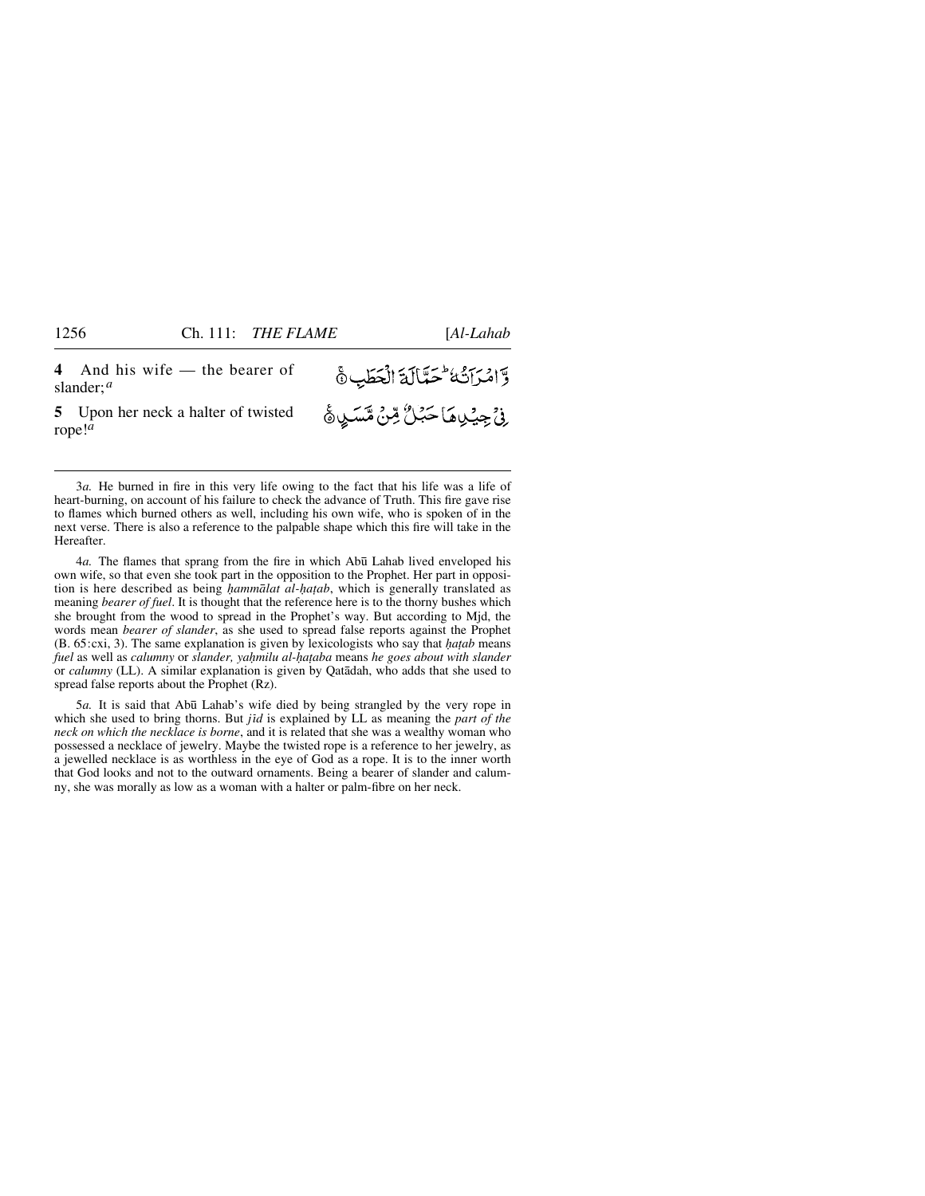وَّامْرَاتُهُ عَمَّالَةَ الْحَطَبِ ﴾

*ۣ*ڹۣٛٙڿؚؽڛڡؘٵڂڋڷۢٷڹ۠؋ۺڡٙڛۿ

**4** And his wife — the bearer of slander;*<sup>a</sup>*

**5** Upon her neck a halter of twisted rope!*<sup>a</sup>*

3*a.* He burned in fire in this very life owing to the fact that his life was a life of heart-burning, on account of his failure to check the advance of Truth. This fire gave rise to flames which burned others as well, including his own wife, who is spoken of in the next verse. There is also a reference to the palpable shape which this fire will take in the Hereafter.

4*a.* The flames that sprang from the fire in which Ab∂ Lahab lived enveloped his own wife, so that even she took part in the opposition to the Prophet. Her part in opposition is here described as being *hammālat al-hatab*, which is generally translated as meaning *bearer of fuel*. It is thought that the reference here is to the thorny bushes which she brought from the wood to spread in the Prophet's way. But according to Mjd, the words mean *bearer of slander*, as she used to spread false reports against the Prophet (B. 65:cxi, 3). The same explanation is given by lexicologists who say that *√a∆ab* means *fuel* as well as *calumny* or *slander, ya√milu al-√a∆aba* means *he goes about with slander* or *calumny* (LL). A similar explanation is given by Qatådah, who adds that she used to spread false reports about the Prophet (Rz).

5*a.* It is said that Ab∂ Lahab's wife died by being strangled by the very rope in which she used to bring thorns. But *jid* is explained by LL as meaning the *part of the neck on which the necklace is borne*, and it is related that she was a wealthy woman who possessed a necklace of jewelry. Maybe the twisted rope is a reference to her jewelry, as a jewelled necklace is as worthless in the eye of God as a rope. It is to the inner worth that God looks and not to the outward ornaments. Being a bearer of slander and calumny, she was morally as low as a woman with a halter or palm-fibre on her neck.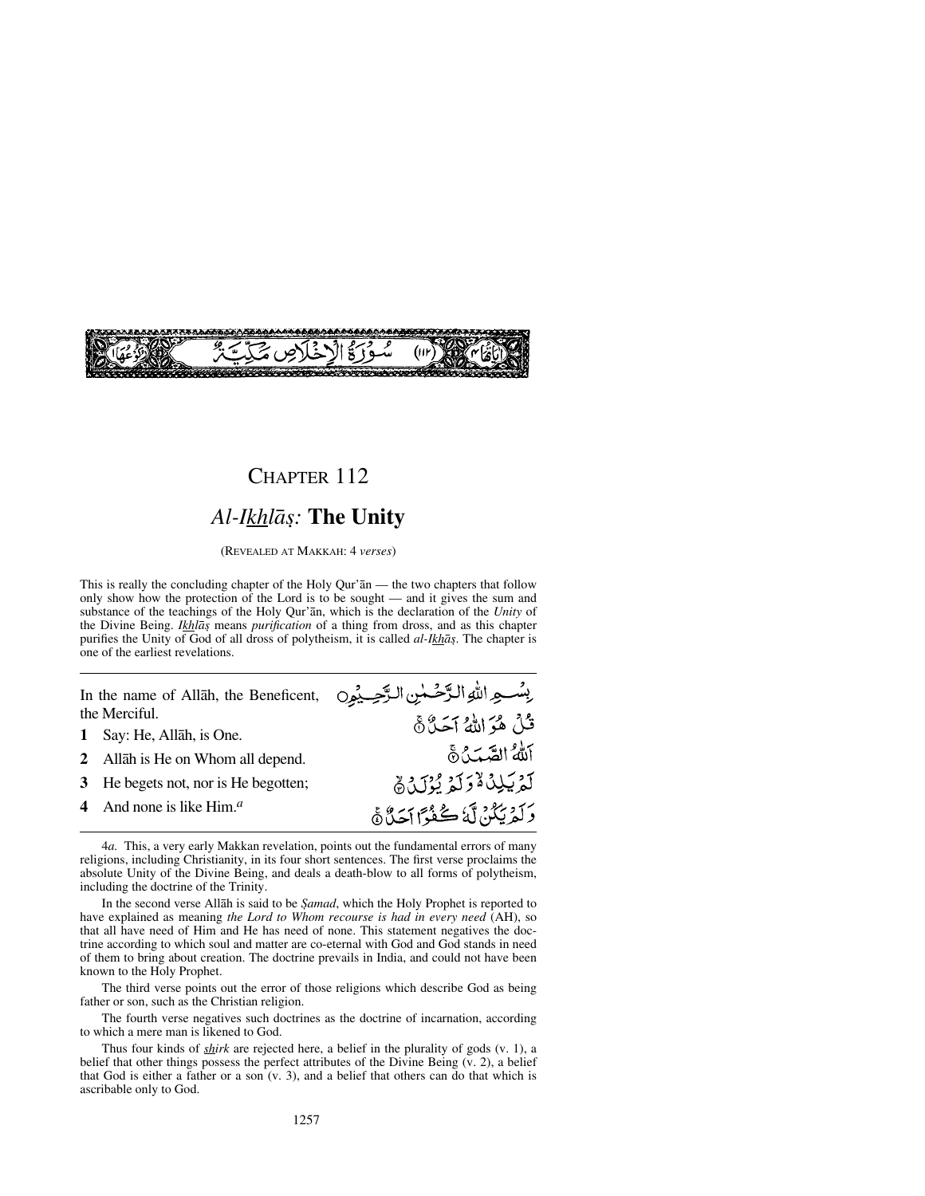

# CHAPTER 112 *Al-Ikhlå©:* **The Unity**

(REVEALED AT MAKKAH: 4 *verses*)

This is really the concluding chapter of the Holy Qur'ån — the two chapters that follow only show how the protection of the Lord is to be sought — and it gives the sum and substance of the teachings of the Holy Qur'ån, which is the declaration of the *Unity* of the Divine Being. *Ikhlå©* means *purification* of a thing from dross, and as this chapter purifies the Unity of God of all dross of polytheism, it is called *al-Ikhå©*. The chapter is one of the earliest revelations.

In the name of Allåh, the Beneficent, the Merciful.

- **1** Say: He, Allåh, is One.
- **2** Allåh is He on Whom all depend.
- **3** He begets not, nor is He begotten;
- **4** And none is like Him.*<sup>a</sup>*

بِسْعِ اللهِ الرَّحْسٰنِ الرَّحِيْمِِ0 قُلْ هُوَ اللَّهُ آحَدٌ ۞ أَللهُ الصَّبَٰنُ نَّ لَمْ يَلِدُهُ وَلَمْ يُزْرَجْهُمْ رَكَّهُ بِبُكْنٌ لَّهُ ڪُفُوًا أَجَدٌّاً هَ

4*a.* This, a very early Makkan revelation, points out the fundamental errors of many religions, including Christianity, in its four short sentences. The first verse proclaims the absolute Unity of the Divine Being, and deals a death-blow to all forms of polytheism, including the doctrine of the Trinity.

In the second verse Allāh is said to be *Şamad*, which the Holy Prophet is reported to have explained as meaning *the Lord to Whom recourse is had in every need* (AH), so that all have need of Him and He has need of none. This statement negatives the doctrine according to which soul and matter are co-eternal with God and God stands in need of them to bring about creation. The doctrine prevails in India, and could not have been known to the Holy Prophet.

The third verse points out the error of those religions which describe God as being father or son, such as the Christian religion.

The fourth verse negatives such doctrines as the doctrine of incarnation, according to which a mere man is likened to God.

Thus four kinds of *shirk* are rejected here, a belief in the plurality of gods (v. 1), a belief that other things possess the perfect attributes of the Divine Being (v. 2), a belief that God is either a father or a son (v. 3), and a belief that others can do that which is ascribable only to God.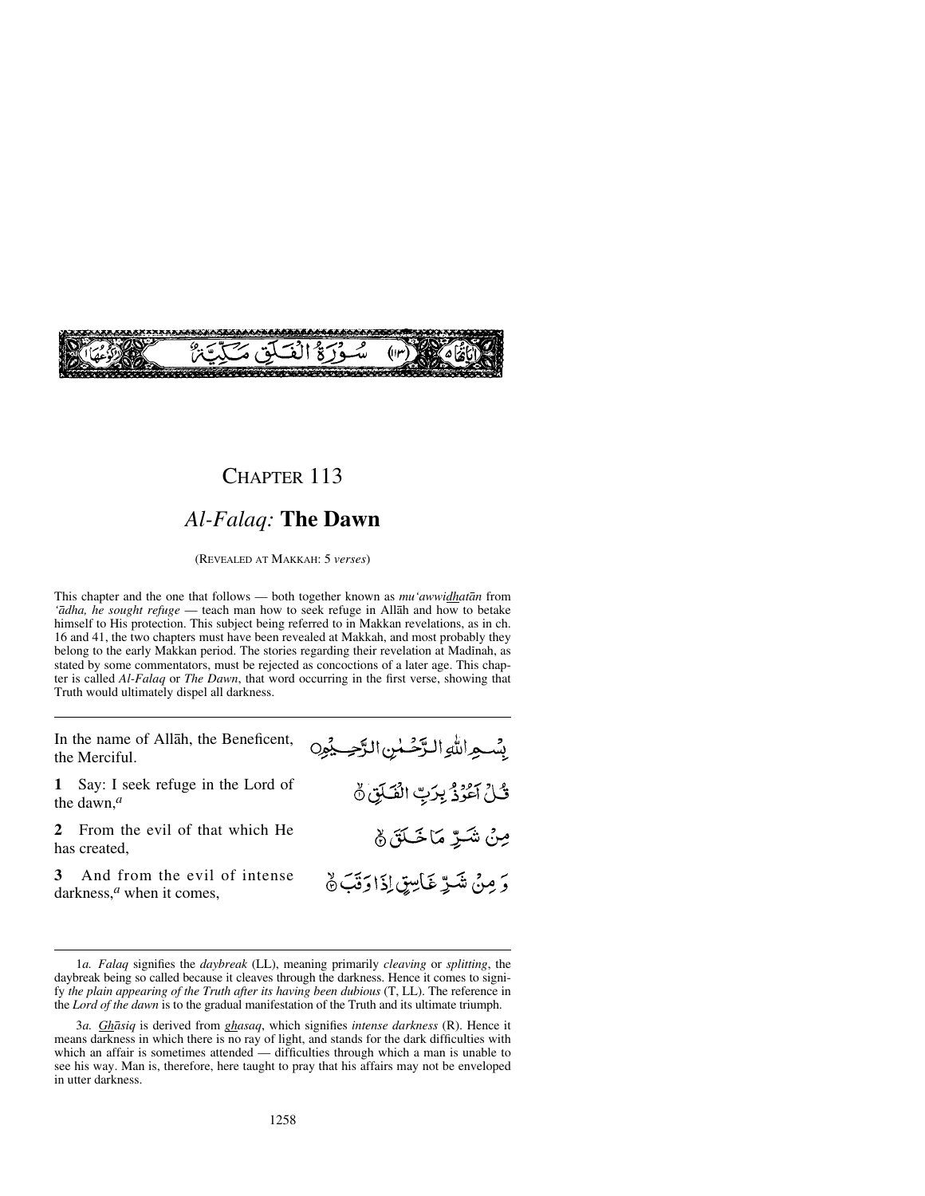

## *Al-Falaq:* **The Dawn**

(REVEALED AT MAKKAH: 5 *verses*)

This chapter and the one that follows — both together known as *mu'awwidhatån* from *'ådha, he sought refuge* — teach man how to seek refuge in Allåh and how to betake himself to His protection. This subject being referred to in Makkan revelations, as in ch. 16 and 41, the two chapters must have been revealed at Makkah, and most probably they belong to the early Makkan period. The stories regarding their revelation at Madinah, as stated by some commentators, must be rejected as concoctions of a later age. This chapter is called *Al-Falaq* or *The Dawn*, that word occurring in the first verse, showing that Truth would ultimately dispel all darkness.

In the name of Allåh, the Beneficent, the Merciful.

**1** Say: I seek refuge in the Lord of the dawn,*<sup>a</sup>*

**2** From the evil of that which He has created,

**3** And from the evil of intense darkness,*<sup>a</sup>* when it comes,

بِسْعِراللهِ الرَّحْسٰنِ الرَّحِيْمِ ثُلُ أَعُوذُ بِرَبِّ الْفَلَقِ نَّ مِنْ شَرِّ مَاخَكَنَ ﴾ وَ مِنْ شَرِّ غَاسِقٍ إِذَا وَقَبَ ﴾

<sup>1</sup>*a. Falaq* signifies the *daybreak* (LL), meaning primarily *cleaving* or *splitting*, the daybreak being so called because it cleaves through the darkness. Hence it comes to signify *the plain appearing of the Truth after its having been dubious* (T, LL). The reference in the *Lord of the dawn* is to the gradual manifestation of the Truth and its ultimate triumph.

<sup>3</sup>*a. Ghåsiq* is derived from *ghasaq*, which signifies *intense darkness* (R). Hence it means darkness in which there is no ray of light, and stands for the dark difficulties with which an affair is sometimes attended — difficulties through which a man is unable to see his way. Man is, therefore, here taught to pray that his affairs may not be enveloped in utter darkness.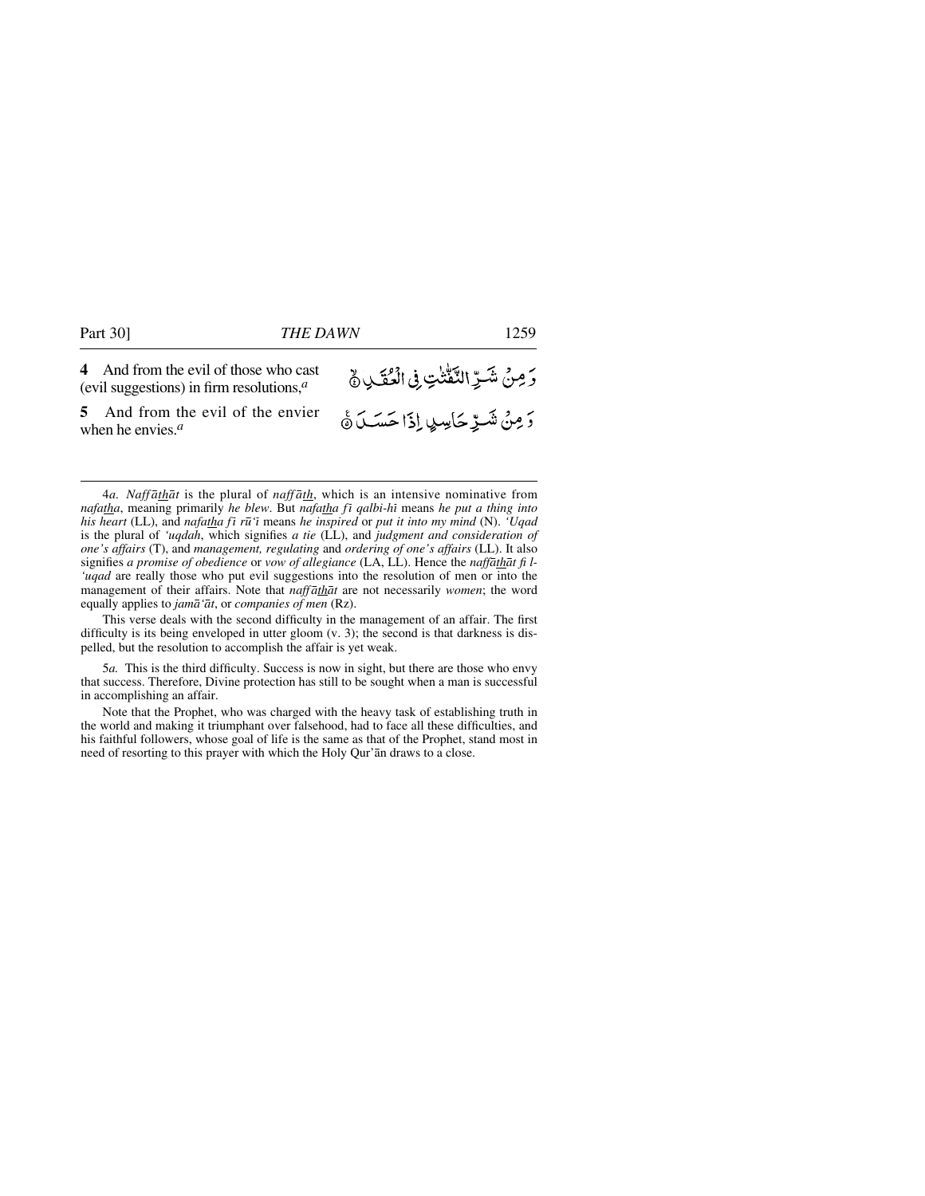**4** And from the evil of those who cast (evil suggestions) in firm resolutions,*<sup>a</sup>*

**5** And from the evil of the envier when he envies.*<sup>a</sup>*

وَمِنْ شَرِّ النَّفّْتٰتِ فِى الْعُقَـٰدِ ﴾ .<br>5 مِنْ شَــرِّ حَاسِبٍ إِذَا حَسَــلَ ۞

4*a. Naffåthåt* is the plural of *naffåth*, which is an intensive nominative from *nafatha*, meaning primarily *he blew*. But *nafatha fi qalbi-hi* means *he put a thing into his heart* (LL), and *nafatha fß r∂'ß* means *he inspired* or *put it into my mind* (N). *'Uqad* is the plural of *'uqdah*, which signifies *a tie* (LL), and *judgment and consideration of one's affairs* (T), and *management, regulating* and *ordering of one's affairs* (LL). It also signifies *a promise of obedience* or *vow of allegiance* (LA, LL). Hence the *naffåthåt fi l- 'uqad* are really those who put evil suggestions into the resolution of men or into the management of their affairs. Note that *naffåthåt* are not necessarily *women*; the word equally applies to *jamå'åt*, or *companies of men* (Rz).

This verse deals with the second difficulty in the management of an affair. The first difficulty is its being enveloped in utter gloom (v. 3); the second is that darkness is dispelled, but the resolution to accomplish the affair is yet weak.

5*a.* This is the third difficulty. Success is now in sight, but there are those who envy that success. Therefore, Divine protection has still to be sought when a man is successful in accomplishing an affair.

Note that the Prophet, who was charged with the heavy task of establishing truth in the world and making it triumphant over falsehood, had to face all these difficulties, and his faithful followers, whose goal of life is the same as that of the Prophet, stand most in need of resorting to this prayer with which the Holy Qur'ån draws to a close.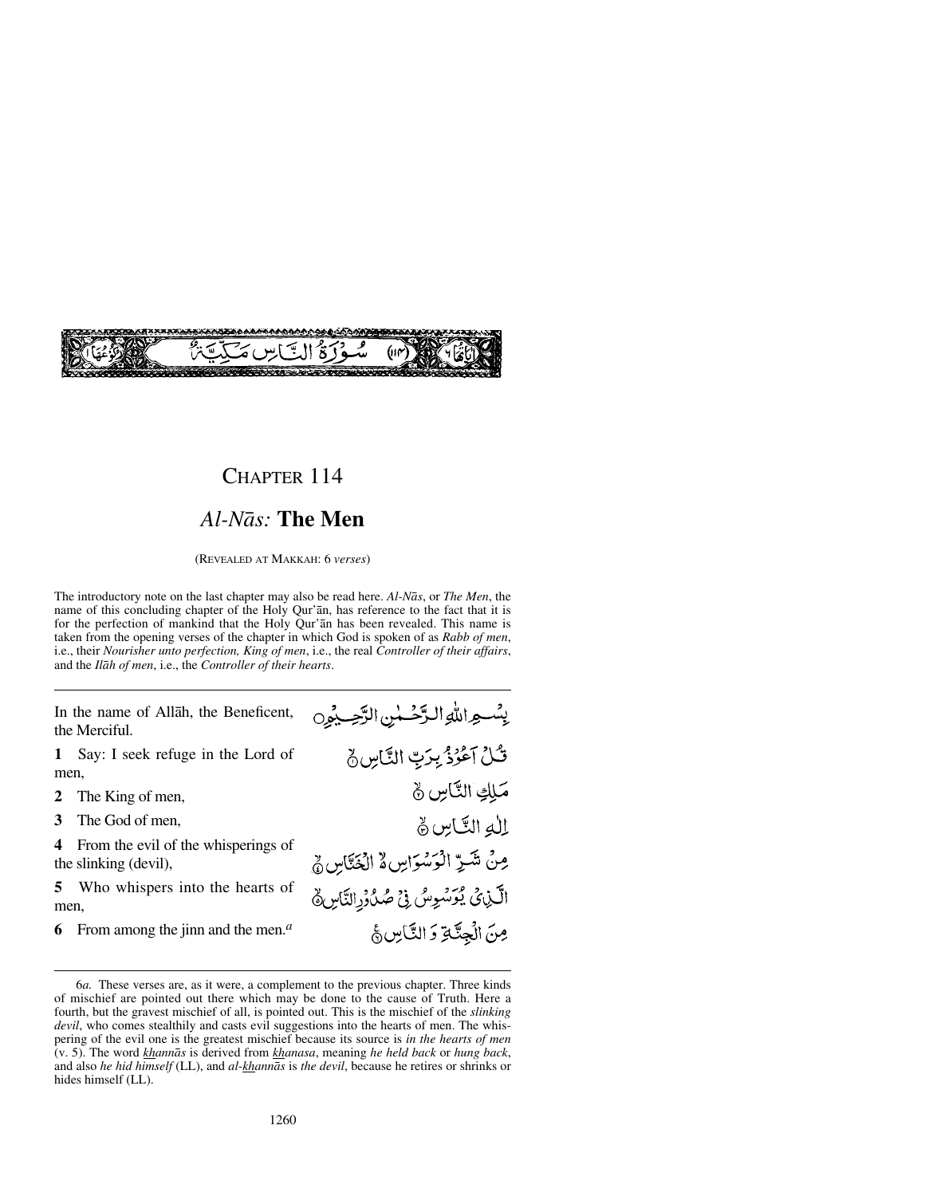

### *Al-Nås:* **The Men**

(REVEALED AT MAKKAH: 6 *verses*)

The introductory note on the last chapter may also be read here. *Al-Nås*, or *The Men*, the name of this concluding chapter of the Holy Qur'ån, has reference to the fact that it is for the perfection of mankind that the Holy Qur'ån has been revealed. This name is taken from the opening verses of the chapter in which God is spoken of as *Rabb of men*, i.e., their *Nourisher unto perfection, King of men*, i.e., the real *Controller of their affairs*, and the *Ilåh of men*, i.e., the *Controller of their hearts*.

In the name of Allåh, the Beneficent, the Merciful.

**1** Say: I seek refuge in the Lord of men,

- **2** The King of men,
- **3** The God of men,

**4** From the evil of the whisperings of the slinking (devil),

**5** Who whispers into the hearts of men,

**6** From among the jinn and the men.*<sup>a</sup>*

بِسُواللهِ الرَّحْسُنِ الرَّحِيمُونِ ثَلُ آعُرُدُ بِرَبِّ النَّاسِ ﴾ مَلِكِ النَّاسِ ﴾ الله التَّاسِ نَّ مِنْ شَرِّ الْوَسْوَاسِ لَهُ الْخَتَّاسِ ﴾ الَّذِى يُوَسُوِسُ فِيْ صُدُوْرِالنَّاسِ وَ مِنَ الْجِنَّةِ وَ النَّاسِ جُ

<sup>6</sup>*a.* These verses are, as it were, a complement to the previous chapter. Three kinds of mischief are pointed out there which may be done to the cause of Truth. Here a fourth, but the gravest mischief of all, is pointed out. This is the mischief of the *slinking devil*, who comes stealthily and casts evil suggestions into the hearts of men. The whispering of the evil one is the greatest mischief because its source is *in the hearts of men* (v. 5). The word *khannås* is derived from *khanasa*, meaning *he held back* or *hung back*, and also *he hid himself* (LL), and *al-khannås* is *the devil*, because he retires or shrinks or hides himself (LL).